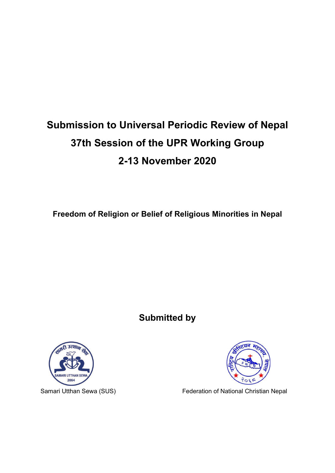# **Submission to Universal Periodic Review of Nepal 37th Session of the UPR Working Group 2-13 November 2020**

**Freedom of Religion or Belief of Religious Minorities in Nepal**

**Submitted by**





Samari Utthan Sewa (SUS) Federation of National Christian Nepal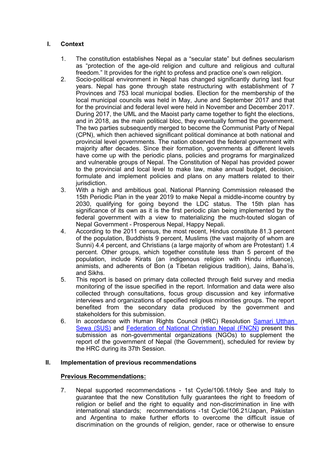## **I. Context**

- 1. The constitution establishes Nepal as <sup>a</sup> "secular state" but defines secularism as "protection of the age-old religion and culture and religious and cultural freedom." It provides for the right to profess and practice one'<sup>s</sup> own religion.
- 2. Socio-political environment in Nepal has changed significantly during last four years. Nepal has gone through state restructuring with establishment of 7 Provinces and 753 local municipal bodies. Election for the membership of the local municipal councils was held in May, June and September 2017 and that for the provincial and federal level were held in November and December 2017. During 2017, the UML and the Maoist party came together to fight the elections, and in 2018, as the main political bloc, they eventually formed the government. The two parties subsequently merged to become the Communist Party of Nepal (CPN), which then achieved significant political dominance at both national and provincial level governments. The nation observed the federal government with majority after decades. Since their formation, governments at different levels have come up with the periodic plans, policies and programs for marginalized and vulnerable groups of Nepal. The Constitution of Nepal has provided power to the provincial and local level to make law, make annual budget, decision, formulate and implement policies and plans on any matters related to their jurisdiction.
- 3. With <sup>a</sup> high and ambitious goal, National Planning Commission released the 15th Periodic Plan in the year 2019 to make Nepal <sup>a</sup> middle-income country by 2030, qualifying for going beyond the LDC status. The 15th plan has significance of its own as it is the first periodic plan being implemented by the federal government with <sup>a</sup> view to materializing the much-touted slogan of Nepal Government - Prosperous Nepal, Happy Nepali.
- 4. According to the 2011 census, the most recent, Hindus constitute 81.3 percent of the population, Buddhists 9 percent, Muslims (the vast majority of whom are Sunni) 4.4 percent, and Christians (a large majority of whom are Protestant) 1.4 percent. Other groups, which together constitute less than 5 percent of the population, include Kirats (an indigenous religion with Hindu influence), animists, and adherents of Bon (a Tibetan religious tradition), Jains, Baha'is, and Sikhs.
- 5. This report is based on primary data collected through field survey and media monitoring of the issue specified in the report. Information and data were also collected through consultations, focus group discussion and key informative interviews and organizations of specified religious minorities groups. The report benefited from the secondary data produced by the government and stakeholders for this submission.
- 6. In accordance with Human Rights Council (HRC) Resolution [Samari](http://samariutthan.org.np/) Utthan Sewa [\(SUS\)](http://samariutthan.org.np/) and [Federation](http://fncnp.org/) of National Christian Nepal (FNCN) present this submission as non-governmental organizations (NGOs) to supplement the report of the government of Nepal (the Government), scheduled for review by the HRC during its 37th Session.

## **II. Implementation of previous recommendations**

# **Previous Recommendations:**

7. Nepal supported recommendations - 1st Cycle/106.1/Holy See and Italy to guarantee that the new Constitution fully guarantees the right to freedom of religion or belief and the right to equality and non-discrimination in line with international standards; recommendations -1st Cycle/106.21/Japan, Pakistan and Argentina to make further efforts to overcome the difficult issue of discrimination on the grounds of religion, gender, race or otherwise to ensure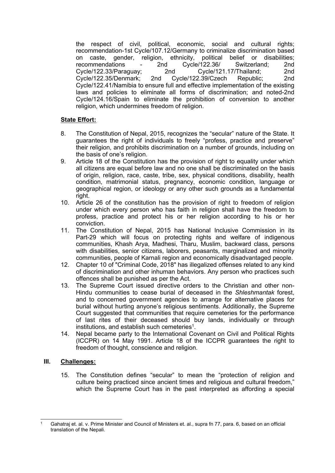the respect of civil, political, economic, social and cultural rights; recommendation-1st Cycle/107.12/Germany to criminalize discrimination based on caste, gender, religion, ethnicity, political belief or disabilities;<br>recommendations - 2nd Cycle/122.36/ Switzerland: 2nd recommendations - 2nd Cycle/122.36/ Switzerland; 2nd Cycle/122.33/Paraguay; 2nd Cycle/121.17/Thailand; 2nd  $C$ ycle/122.35/Denmark; Cycle/122.41/Namibia to ensure full and effective implementation of the existing laws and policies to eliminate all forms of discrimination; and noted-2nd Cycle/124.16/Spain to eliminate the prohibition of conversion to another religion, which undermines freedom of religion.

## **State Effort:**

- 8. The Constitution of Nepal, 2015, recognizes the "secular" nature of the State. It guarantees the right of individuals to freely "profess, practice and preserve" their religion, and prohibits discrimination on <sup>a</sup> number of grounds, including on the basis of one'<sup>s</sup> religion.
- 9. Article 18 of the Constitution has the provision of right to equality under which all citizens are equal before law and no one shall be discriminated on the basis of origin, religion, race, caste, tribe, sex, physical conditions, disability, health condition, matrimonial status, pregnancy, economic condition, language or geographical region, or ideology or any other such grounds as <sup>a</sup> fundamental right.
- 10. Article 26 of the constitution has the provision of right to freedom of religion under which every person who has faith in religion shall have the freedom to profess, practice and protect his or her religion according to his or her conviction.
- 11. The Constitution of Nepal, 2015 has National Inclusive Commission in its Part-29 which will focus on protecting rights and welfare of indigenous communities, Khash Arya, Madhesi, Tharu, Muslim, backward class, persons with disabilities, senior citizens, laborers, peasants, marginalized and minority communities, people of Karnali region and economically disadvantaged people.
- 12. Chapter 10 of "Criminal Code, 2018" has illegalized offenses related to any kind of discrimination and other inhuman behaviors. Any person who practices such offences shall be punished as per the Act.
- 13. The Supreme Court issued directive orders to the Christian and other non-Hindu communities to cease burial of deceased in the *Shleshmantak* forest, and to concerned government agencies to arrange for alternative places for burial without hurting anyone'<sup>s</sup> religious sentiments. Additionally, the Supreme Court suggested that communities that require cemeteries for the performance of last rites of their deceased should buy lands, individually or through institutions, and establish such cemeteries $^{\rm 1}$
- 14. Nepal became party to the International Covenant on Civil and Political Rights (ICCPR) on 14 May 1991. Article 18 of the ICCPR guarantees the right to freedom of thought, conscience and religion.

## **III. Challenges:**

15. The Constitution defines "secular" to mean the "protection of religion and culture being practiced since ancient times and religious and cultural freedom," which the Supreme Court has in the past interpreted as affording <sup>a</sup> special

<sup>1</sup> Gahatraj et. al. v. Prime Minister and Council of Ministers et. al., supra fn 77, para. 6, based on an official translation of the Nepali.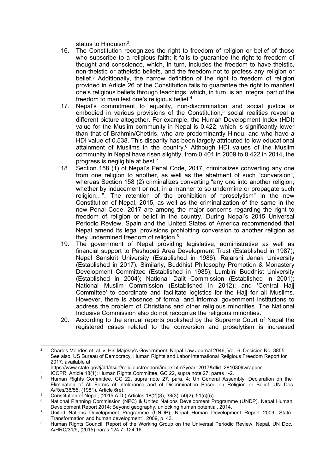status to Hinduism $^2\!$ 

- 16. The Constitution recognizes the right to freedom of religion or belief of those who subscribe to <sup>a</sup> religious faith; it fails to guarantee the right to freedom of thought and conscience, which, in turn, includes the freedom to have theistic, non-theistic or atheistic beliefs, and the freedom not to profess any religion or belief. <sup>3</sup> Additionally, the narrow definition of the right to freedom of religion provided in Article 26 of the Constitution fails to guarantee the right to manifest one'<sup>s</sup> religious beliefs through teachings, which, in turn, is an integral part of the freedom to manifest one'<sup>s</sup> religious belief. 4
- 17. Nepal'<sup>s</sup> commitment to equality, non-discrimination and social justice is embodied in various provisions of the Constitution, 5 social realities reveal a different picture altogether. For example, the Human Development Index (HDI) value for the Muslim community in Nepal is 0.422, which is significantly lower than that of Brahmin/Chettris, who are predominantly Hindu, and who have <sup>a</sup> HDI value of 0.538. This disparity has been largely attributed to low educational attainment of Muslims in the country. <sup>6</sup> Although HDI values of the Muslim community in Nepal have risen slightly, from 0.401 in 2009 to 0.422 in 2014, the progress is negligible at best. $^7$
- 18. Section 158 (1) of Nepal'<sup>s</sup> Penal Code, 2017, criminalizes converting any one from one religion to another, as well as the abetment of such "conversion", whereas Section 158 (2) criminalizes converting "any one into another religion, whether by inducement or not, in <sup>a</sup> manner to so undermine or propagate such religion…". The retention of the prohibition of "proselytism" in the new Constitution of Nepal, 2015, as well as the criminalization of the same in the new Penal Code, 2017 are among the major concerns regarding the right to freedom of religion or belief in the country. During Nepal'<sup>s</sup> 2015 Universal Periodic Review, Spain and the United States of America recommended that Nepal amend its legal provisions prohibiting conversion to another religion as they undermined freedom of religion. $^8$
- 19. The government of Nepal providing legislative, administrative as well as financial support to Pashupati Area Development Trust (Established in 1987); Nepal Sanskrit University (Established in 1986), Rajarshi Janak University (Established in 2017). Similarly, Buddhist Philosophy Promotion & Monastery Development Committee (Established in 1985); Lumbini Buddhist University (Established in 2004); National Dalit Commission (Established in 2001); National Muslim Commission (Established in 2012); and 'Central Hajj Committee' to coordinate and facilitate logistics for the Haij for all Muslims. However, there is absence of formal and informal government institutions to address the problem of Christians and other religious minorities. The National Inclusive Commission also do not recognize the religious minorities.
- 20. According to the annual reports published by the Supreme Court of Nepal the registered cases related to the conversion and proselytism is increased

<sup>2</sup> Charles Mendes et. al. v. His Majesty'<sup>s</sup> Government, Nepal Law Journal 2046, Vol. 6, Decision No. 3855. See also, US Bureau of Democracy, Human Rights and Labor International Religious Freedom Report for 2017, available at:

https://www.state.gov/j/drl/rls/irf/religiousfreedom/index.htm?year=2017&dlid=281030#wrapper

<sup>3</sup> ICCPR, Article 18(1); Human Rights Committee, GC 22, supra note 27, paras 1-2.

<sup>4</sup> Human Rights Committee, GC 22, supra note 27, para. 4; Un General Assembly, Declaration on the Elimination of All Forms of Intolerance and of Discrimination Based on Religion or Belief, UN Doc. A/Res/36/55, (1981), Article 6(e).

<sup>5</sup> Constitution of Nepal,  $(2015 \text{ A}.\text{D}.)$  Articles 18 $(2)(3)$ , 38 $(3)$ , 50 $(2)$ , 51 $(c)(5)$ .

<sup>6</sup> National Planning Commission (NPC) & United Nations Development Programme (UNDP), Nepal Human Development Report 2014: Beyond geography, unlocking human potential, 2014.

<sup>7</sup> United Nations Development Programme (UNDP), Nepal Human Development Report 2009: State Transformation and human development", 2009, p. 43.

<sup>8</sup> Human Rights Council, Report of the Working Group on the Universal Periodic Review: Nepal, UN Doc. A/HRC/31/9, (2015) paras 124.7, 124.16.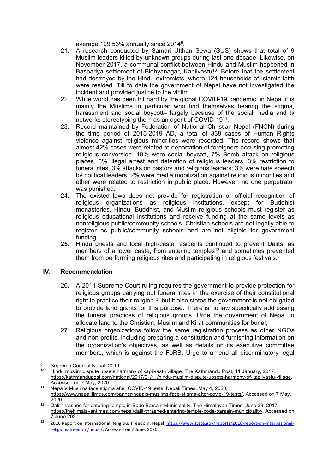average 129.53% annually since 2014<sup>9</sup>.

- 21. A research conducted by Samari Utthan Sewa (SUS) shows that total of 9 Muslim leaders killed by unknown groups during last one decade. Likewise, on November 2017, <sup>a</sup> communal conflict between Hindu and Muslim happened in Basbariya settlement of Bidhyanagar, Kapilvastu<sup>10</sup>. Before that the settlement had destroyed by the Hindu extremists, where 124 households of Islamic faith were resided. Till to date the government of Nepal have not investigated the incident and provided justice to the victim.
- 22. While world has been hit hard by the global COVID-19 pandemic, in Nepal it is mainly the Muslims in particular who find themselves bearing the stigma, harassment and social boycott- largely because of the social media and tv networks stereotyping them as an agent of COVID-19<sup>11</sup> .
- 23. Record maintained by Federation of National Christian-Nepal (FNCN) during the time period of 2015-2019 AD, <sup>a</sup> total of 338 cases of Human Rights violence against religious minorities were recorded. The record shows that almost 42% cases were related to deportation of foreigners accusing promoting religious conversion, 19% were social boycott, 7% Bomb attack on religious places, 6% illegal arrest and detention of religious leaders, 3% restriction to funeral rites, 3% attacks on pastors and religious leaders; 3% were hate speech by political leaders, 2% were media mobilization against religious minorities and other were related to restriction in public place. However, no one perpetrator was punished.
- 24. The existed laws does not provide for registration or official recognition of religious organizations as religious institutions, except for Buddhist monasteries. Hindu, Buddhist, and Muslim religious schools must register as religious educational institutions and receive funding at the same levels as nonreligious public/community schools. Christian schools are not legally able to register as public/community schools and are not eligible for government funding.
- **25.** Hindu priests and local high-caste residents continued to prevent Dalits, as members of a lower caste, from entering temples $^{\text{12}}$  and sometimes prevented them from performing religious rites and participating in religious festivals.

## **IV. Recommendation**

- 26. A 2011 Supreme Court ruling requires the government to provide protection for religious groups carrying out funeral rites in the exercise of their constitutional right to practice their religion $^{\mathsf{13}}$ , but it also states the government is not obligated to provide land grants for this purpose. There is no law specifically addressing the funeral practices of religious groups. Urge the government of Nepal to allocate land to the Christian, Muslim and Kirat communities for burial;
- 27. Religious organizations follow the same registration process as other NGOs and non-profits, including preparing <sup>a</sup> constitution and furnishing information on the organization'<sup>s</sup> objectives, as well as details on its executive committee members, which is against the FoRB. Urge to amend all discriminatory legal

<sup>&</sup>lt;sup>9</sup> Supreme Court of Nepal, 2019.

<sup>10</sup> Hindu muslim dispute upsets harmony of [kapilvastu](https://kathmandupost.com/national/2017/01/11/hindu-muslim-dispute-upsets-harmony-of-kapilvastu-village) village, The Kathmandu Post, 11 January, 2017. <https://kathmandupost.com/national/2017/01/11/hindu-muslim-dispute-upsets-harmony-of-kapilvastu-village>, Accessed on 7 May, 2020.

<sup>11</sup> Nepal'<sup>s</sup> Muslims face stigma after COVID-19 tests, Nepali Times, May 4, 2020, <https://www.nepalitimes.com/banner/nepals-muslims-face-stigma-after-covid-19-tests/>, Accessed on 7 May, 2020.

<sup>12</sup> Dalit thrashed for entering temple in Bode Barsain Municipality, The Himalayan Times, June 29, 2017. <https://thehimalayantimes.com/nepal/dalit-thrashed-entering-temple-bode-barsain-municipality/>, Accessed on 7 June 2020.

<sup>13</sup> 2018 Report on International Religious Freedom: Nepal, [https://www.state.gov/reports/2018-report-on-international](https://www.state.gov/reports/2018-report-on-international-religious-freedom/nepal/)[religious-freedom/nepal/,](https://www.state.gov/reports/2018-report-on-international-religious-freedom/nepal/) Accessed on 7 June, 2020.